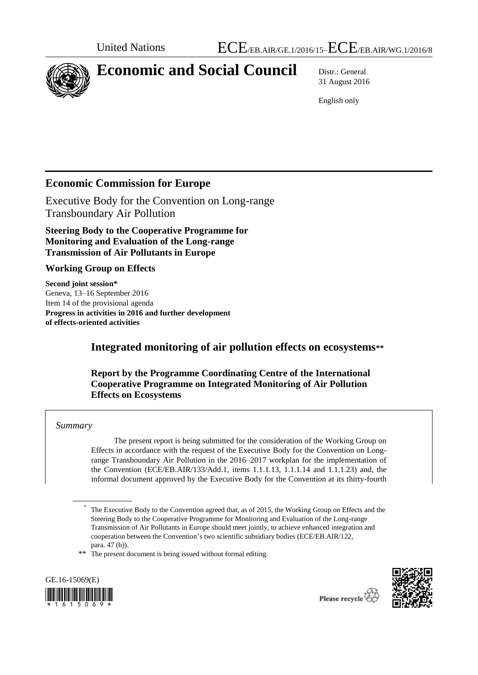

# **Economic and Social Council** Distr.: General

31 August 2016

English only

# **Economic Commission for Europe**

Executive Body for the Convention on Long-range Transboundary Air Pollution

**Steering Body to the Cooperative Programme for Monitoring and Evaluation of the Long-range Transmission of Air Pollutants in Europe**

#### **Working Group on Effects**

**Second joint session\*** Geneva, 13–16 September 2016 Item 14 of the provisional agenda **Progress in activities in 2016 and further development of effects-oriented activities**

# **Integrated monitoring of air pollution effects on ecosystems\*\***

#### **Report by the Programme Coordinating Centre of the International Cooperative Programme on Integrated Monitoring of Air Pollution Effects on Ecosystems**

#### *Summary*

The present report is being submitted for the consideration of the Working Group on Effects in accordance with the request of the Executive Body for the Convention on Longrange Transboundary Air Pollution in the 2016–2017 workplan for the implementation of the Convention (ECE/EB.AIR/133/Add.1, items 1.1.1.13, 1.1.1.14 and 1.1.1.23) and, the informal document approved by the Executive Body for the Convention at its thirty-fourth

\*\* The present document is being issued without formal editing.





<sup>\*</sup> The Executive Body to the Convention agreed that, as of 2015, the Working Group on Effects and the Steering Body to the Cooperative Programme for Monitoring and Evaluation of the Long-range Transmission of Air Pollutants in Europe should meet jointly, to achieve enhanced integration and cooperation between the Convention's two scientific subsidiary bodies (ECE/EB.AIR/122, para. 47 (b)).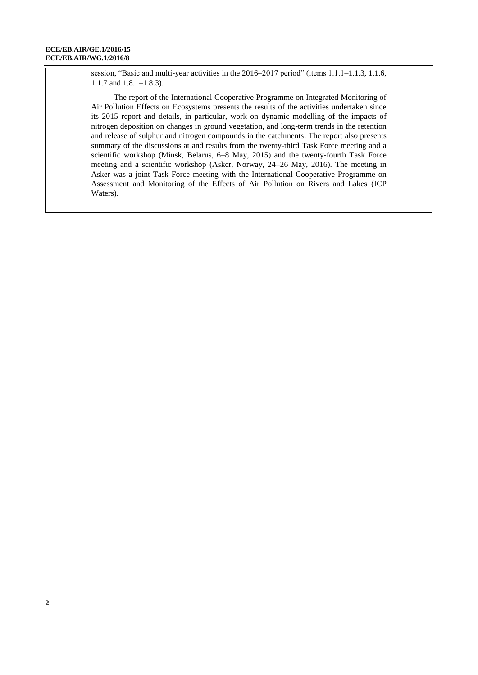session, "Basic and multi-year activities in the 2016–2017 period" (items 1.1.1–1.1.3, 1.1.6, 1.1.7 and 1.8.1–1.8.3).

The report of the International Cooperative Programme on Integrated Monitoring of Air Pollution Effects on Ecosystems presents the results of the activities undertaken since its 2015 report and details, in particular, work on dynamic modelling of the impacts of nitrogen deposition on changes in ground vegetation, and long-term trends in the retention and release of sulphur and nitrogen compounds in the catchments. The report also presents summary of the discussions at and results from the twenty-third Task Force meeting and a scientific workshop (Minsk, Belarus, 6–8 May, 2015) and the twenty-fourth Task Force meeting and a scientific workshop (Asker, Norway, 24–26 May, 2016). The meeting in Asker was a joint Task Force meeting with the International Cooperative Programme on Assessment and Monitoring of the Effects of Air Pollution on Rivers and Lakes (ICP Waters).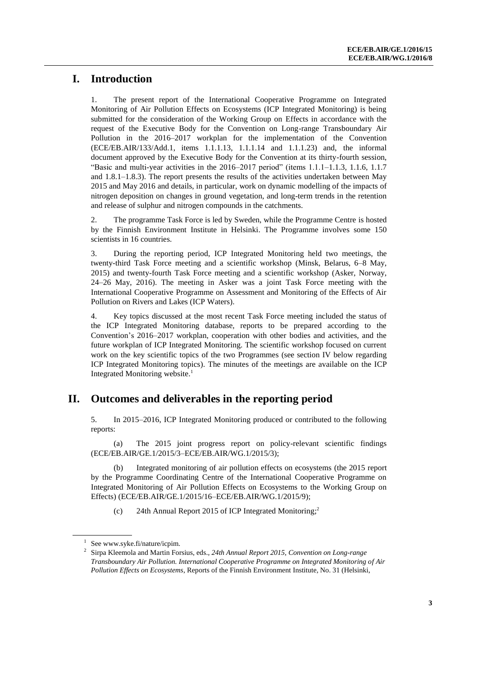# **I. Introduction**

1. The present report of the International Cooperative Programme on Integrated Monitoring of Air Pollution Effects on Ecosystems (ICP Integrated Monitoring) is being submitted for the consideration of the Working Group on Effects in accordance with the request of the Executive Body for the Convention on Long-range Transboundary Air Pollution in the 2016–2017 workplan for the implementation of the Convention (ECE/EB.AIR/133/Add.1, items 1.1.1.13, 1.1.1.14 and 1.1.1.23) and, the informal document approved by the Executive Body for the Convention at its thirty-fourth session, "Basic and multi-year activities in the  $2016-2017$  period" (items  $1.1.1-1.1.3$ ,  $1.1.6$ ,  $1.1.7$ and 1.8.1–1.8.3). The report presents the results of the activities undertaken between May 2015 and May 2016 and details, in particular, work on dynamic modelling of the impacts of nitrogen deposition on changes in ground vegetation, and long-term trends in the retention and release of sulphur and nitrogen compounds in the catchments.

2. The programme Task Force is led by Sweden, while the Programme Centre is hosted by the Finnish Environment Institute in Helsinki. The Programme involves some 150 scientists in 16 countries.

3. During the reporting period, ICP Integrated Monitoring held two meetings, the twenty-third Task Force meeting and a scientific workshop (Minsk, Belarus, 6–8 May, 2015) and twenty-fourth Task Force meeting and a scientific workshop (Asker, Norway, 24–26 May, 2016). The meeting in Asker was a joint Task Force meeting with the International Cooperative Programme on Assessment and Monitoring of the Effects of Air Pollution on Rivers and Lakes (ICP Waters).

4. Key topics discussed at the most recent Task Force meeting included the status of the ICP Integrated Monitoring database, reports to be prepared according to the Convention's 2016–2017 workplan, cooperation with other bodies and activities, and the future workplan of ICP Integrated Monitoring. The scientific workshop focused on current work on the key scientific topics of the two Programmes (see section IV below regarding ICP Integrated Monitoring topics). The minutes of the meetings are available on the ICP Integrated Monitoring website.<sup>1</sup>

# **II. Outcomes and deliverables in the reporting period**

5. In 2015–2016, ICP Integrated Monitoring produced or contributed to the following reports:

(a) The 2015 joint progress report on policy-relevant scientific findings (ECE/EB.AIR/GE.1/2015/3–ECE/EB.AIR/WG.1/2015/3);

(b) Integrated monitoring of air pollution effects on ecosystems (the 2015 report by the Programme Coordinating Centre of the International Cooperative Programme on Integrated Monitoring of Air Pollution Effects on Ecosystems to the Working Group on Effects) (ECE/EB.AIR/GE.1/2015/16–ECE/EB.AIR/WG.1/2015/9);

(c) 24th Annual Report 2015 of ICP Integrated Monitoring; 2

 $1$  See www.syke.fi/nature/icpim.

<sup>2</sup> Sirpa Kleemola and Martin Forsius, eds., *24th Annual Report 2015, Convention on Long-range Transboundary Air Pollution. International Cooperative Programme on Integrated Monitoring of Air Pollution Effects on Ecosystems*, Reports of the Finnish Environment Institute, No. 31 (Helsinki,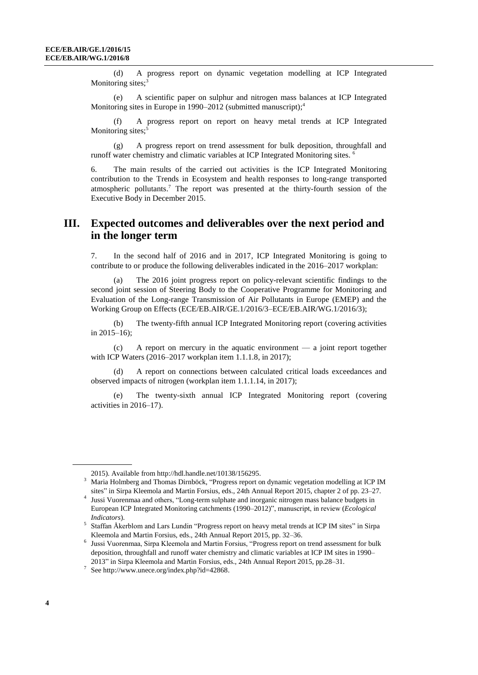(d) A progress report on dynamic vegetation modelling at ICP Integrated Monitoring sites;<sup>3</sup>

(e) A scientific paper on sulphur and nitrogen mass balances at ICP Integrated Monitoring sites in Europe in 1990–2012 (submitted manuscript); 4

(f) A progress report on report on heavy metal trends at ICP Integrated Monitoring sites;<sup>5</sup>

(g) A progress report on trend assessment for bulk deposition, throughfall and runoff water chemistry and climatic variables at ICP Integrated Monitoring sites. <sup>6</sup>

6. The main results of the carried out activities is the ICP Integrated Monitoring contribution to the Trends in Ecosystem and health responses to long-range transported atmospheric pollutants. <sup>7</sup> The report was presented at the thirty-fourth session of the Executive Body in December 2015.

### **III. Expected outcomes and deliverables over the next period and in the longer term**

7. In the second half of 2016 and in 2017, ICP Integrated Monitoring is going to contribute to or produce the following deliverables indicated in the 2016–2017 workplan:

(a) The 2016 joint progress report on policy-relevant scientific findings to the second joint session of Steering Body to the Cooperative Programme for Monitoring and Evaluation of the Long-range Transmission of Air Pollutants in Europe (EMEP) and the Working Group on Effects (ECE/EB.AIR/GE.1/2016/3–ECE/EB.AIR/WG.1/2016/3);

(b) The twenty-fifth annual ICP Integrated Monitoring report (covering activities in 2015–16);

(c) A report on mercury in the aquatic environment — a joint report together with ICP Waters (2016–2017 workplan item 1.1.1.8, in 2017);

A report on connections between calculated critical loads exceedances and observed impacts of nitrogen (workplan item 1.1.1.14, in 2017);

(e) The twenty-sixth annual ICP Integrated Monitoring report (covering activities in 2016–17).

<sup>2015).</sup> Available from [http://hdl.handle.net/10138/156295.](http://hdl.handle.net/10138/156295)

<sup>3</sup> Maria Holmberg and Thomas Dirnböck, "Progress report on dynamic vegetation modelling at ICP IM sites" in Sirpa Kleemola and Martin Forsius, eds., 24th Annual Report 2015, chapter 2 of pp. 23–27.

<sup>4</sup> Jussi Vuorenmaa and others, "Long-term sulphate and inorganic nitrogen mass balance budgets in European ICP Integrated Monitoring catchments (1990–2012)", manuscript, in review (*Ecological Indicators*).

<sup>&</sup>lt;sup>5</sup> Staffan Åkerblom and Lars Lundin "Progress report on heavy metal trends at ICP IM sites" in Sirpa Kleemola and Martin Forsius, eds., 24th Annual Report 2015, pp. 32–36.

<sup>&</sup>lt;sup>6</sup> Jussi Vuorenmaa, Sirpa Kleemola and Martin Forsius, "Progress report on trend assessment for bulk deposition, throughfall and runoff water chemistry and climatic variables at ICP IM sites in 1990– 2013" in Sirpa Kleemola and Martin Forsius, eds., 24th Annual Report 2015, pp.28–31.

<sup>&</sup>lt;sup>7</sup> Se[e http://www.unece.org/index.php?id=42868.](http://www.unece.org/index.php?id=42868)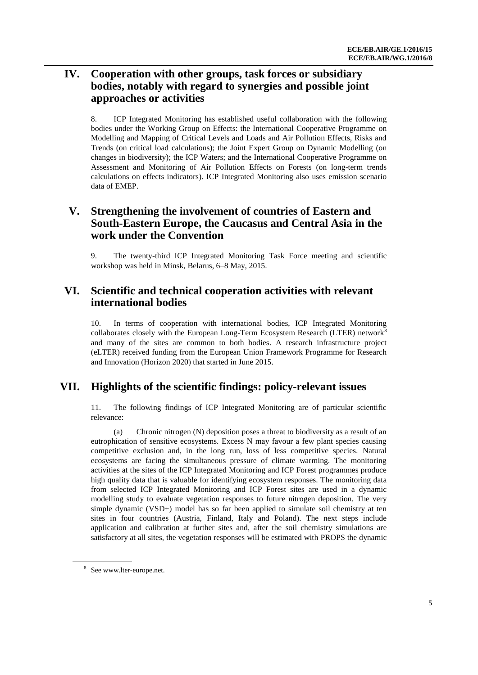# **IV. Cooperation with other groups, task forces or subsidiary bodies, notably with regard to synergies and possible joint approaches or activities**

8. ICP Integrated Monitoring has established useful collaboration with the following bodies under the Working Group on Effects: the International Cooperative Programme on Modelling and Mapping of Critical Levels and Loads and Air Pollution Effects, Risks and Trends (on critical load calculations); the Joint Expert Group on Dynamic Modelling (on changes in biodiversity); the ICP Waters; and the International Cooperative Programme on Assessment and Monitoring of Air Pollution Effects on Forests (on long-term trends calculations on effects indicators). ICP Integrated Monitoring also uses emission scenario data of EMEP.

### **V. Strengthening the involvement of countries of Eastern and South-Eastern Europe, the Caucasus and Central Asia in the work under the Convention**

9. The twenty-third ICP Integrated Monitoring Task Force meeting and scientific workshop was held in Minsk, Belarus, 6–8 May, 2015.

### **VI. Scientific and technical cooperation activities with relevant international bodies**

10. In terms of cooperation with international bodies, ICP Integrated Monitoring collaborates closely with the European Long-Term Ecosystem Research (LTER) network<sup>8</sup> and many of the sites are common to both bodies. A research infrastructure project (eLTER) received funding from the European Union Framework Programme for Research and Innovation (Horizon 2020) that started in June 2015.

### **VII. Highlights of the scientific findings: policy-relevant issues**

11. The following findings of ICP Integrated Monitoring are of particular scientific relevance:

(a) Chronic nitrogen (N) deposition poses a threat to biodiversity as a result of an eutrophication of sensitive ecosystems. Excess N may favour a few plant species causing competitive exclusion and, in the long run, loss of less competitive species. Natural ecosystems are facing the simultaneous pressure of climate warming. The monitoring activities at the sites of the ICP Integrated Monitoring and ICP Forest programmes produce high quality data that is valuable for identifying ecosystem responses. The monitoring data from selected ICP Integrated Monitoring and ICP Forest sites are used in a dynamic modelling study to evaluate vegetation responses to future nitrogen deposition. The very simple dynamic (VSD+) model has so far been applied to simulate soil chemistry at ten sites in four countries (Austria, Finland, Italy and Poland). The next steps include application and calibration at further sites and, after the soil chemistry simulations are satisfactory at all sites, the vegetation responses will be estimated with PROPS the dynamic

<sup>8</sup> Se[e www.lter-europe.net.](http://www.lter-europe.net/)